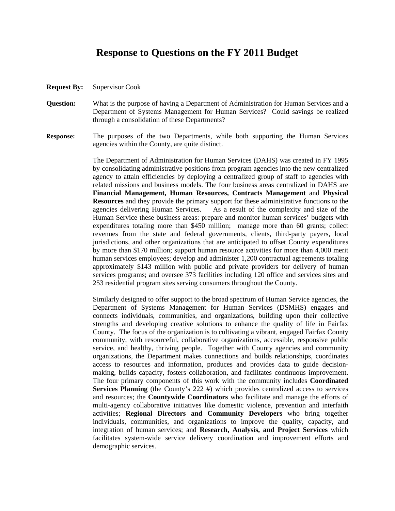## **Response to Questions on the FY 2011 Budget**

- **Request By:** Supervisor Cook
- **Question:** What is the purpose of having a Department of Administration for Human Services and a Department of Systems Management for Human Services? Could savings be realized through a consolidation of these Departments?
- **Response:** The purposes of the two Departments, while both supporting the Human Services agencies within the County, are quite distinct.

The Department of Administration for Human Services (DAHS) was created in FY 1995 by consolidating administrative positions from program agencies into the new centralized agency to attain efficiencies by deploying a centralized group of staff to agencies with related missions and business models. The four business areas centralized in DAHS are **Financial Management, Human Resources, Contracts Management** and **Physical Resources** and they provide the primary support for these administrative functions to the agencies delivering Human Services. As a result of the complexity and size of the Human Service these business areas: prepare and monitor human services' budgets with expenditures totaling more than \$450 million; manage more than 60 grants; collect revenues from the state and federal governments, clients, third-party payers, local jurisdictions, and other organizations that are anticipated to offset County expenditures by more than \$170 million; support human resource activities for more than 4,000 merit human services employees; develop and administer 1,200 contractual agreements totaling approximately \$143 million with public and private providers for delivery of human services programs; and oversee 373 facilities including 120 office and services sites and 253 residential program sites serving consumers throughout the County.

Similarly designed to offer support to the broad spectrum of Human Service agencies, the Department of Systems Management for Human Services (DSMHS) engages and connects individuals, communities, and organizations, building upon their collective strengths and developing creative solutions to enhance the quality of life in Fairfax County. The focus of the organization is to cultivating a vibrant, engaged Fairfax County community, with resourceful, collaborative organizations, accessible, responsive public service, and healthy, thriving people. Together with County agencies and community organizations, the Department makes connections and builds relationships, coordinates access to resources and information, produces and provides data to guide decisionmaking, builds capacity, fosters collaboration, and facilitates continuous improvement. The four primary components of this work with the community includes **Coordinated Services Planning** (the County's 222 #) which provides centralized access to services and resources; the **Countywide Coordinators** who facilitate and manage the efforts of multi-agency collaborative initiatives like domestic violence, prevention and interfaith activities; **Regional Directors and Community Developers** who bring together individuals, communities, and organizations to improve the quality, capacity, and integration of human services; and **Research, Analysis, and Project Services** which facilitates system-wide service delivery coordination and improvement efforts and demographic services.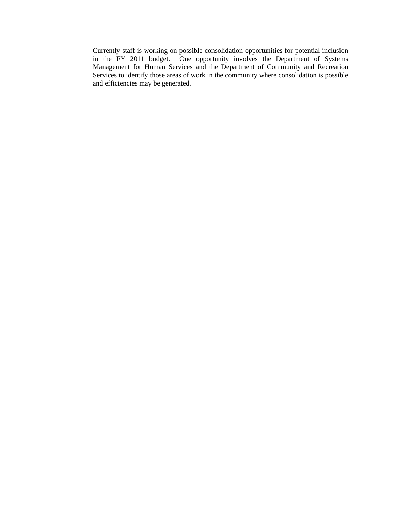Currently staff is working on possible consolidation opportunities for potential inclusion in the FY 2011 budget. One opportunity involves the Department of Systems Management for Human Services and the Department of Community and Recreation Services to identify those areas of work in the community where consolidation is possible and efficiencies may be generated.